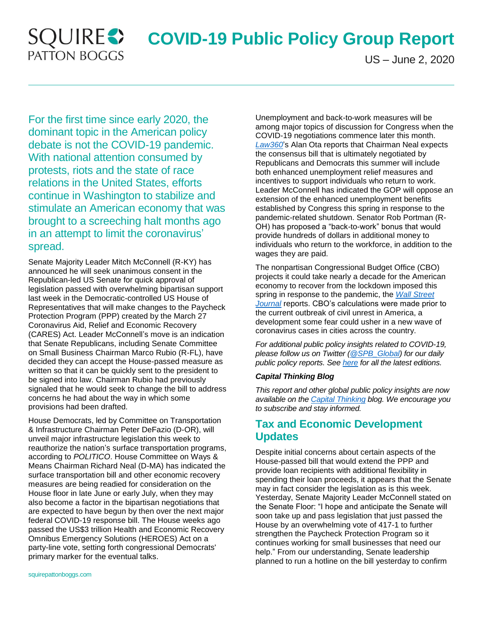## **SQUIRE PATTON BOGGS**

# **COVID-19 Public Policy Group Report**

US – June 2, 2020

For the first time since early 2020, the dominant topic in the American policy debate is not the COVID-19 pandemic. With national attention consumed by protests, riots and the state of race relations in the United States, efforts continue in Washington to stabilize and stimulate an American economy that was brought to a screeching halt months ago in an attempt to limit the coronavirus' spread.

Senate Majority Leader Mitch McConnell (R-KY) has announced he will seek unanimous consent in the Republican-led US Senate for quick approval of legislation passed with overwhelming bipartisan support last week in the Democratic-controlled US House of Representatives that will make changes to the Paycheck Protection Program (PPP) created by the March 27 Coronavirus Aid, Relief and Economic Recovery (CARES) Act. Leader McConnell's move is an indication that Senate Republicans, including Senate Committee on Small Business Chairman Marco Rubio (R-FL), have decided they can accept the House-passed measure as written so that it can be quickly sent to the president to be signed into law. Chairman Rubio had previously signaled that he would seek to change the bill to address concerns he had about the way in which some provisions had been drafted.

House Democrats, led by Committee on Transportation & Infrastructure Chairman Peter DeFazio (D-OR), will unveil major infrastructure legislation this week to reauthorize the nation's surface transportation programs, according to *POLITICO*. House Committee on Ways & Means Chairman Richard Neal (D-MA) has indicated the surface transportation bill and other economic recovery measures are being readied for consideration on the House floor in late June or early July, when they may also become a factor in the bipartisan negotiations that are expected to have begun by then over the next major federal COVID-19 response bill. The House weeks ago passed the US\$3 trillion Health and Economic Recovery Omnibus Emergency Solutions (HEROES) Act on a party-line vote, setting forth congressional Democrats' primary marker for the eventual talks.

Unemployment and back-to-work measures will be among major topics of discussion for Congress when the COVID-19 negotiations commence later this month. *[Law360](https://www.law360.com/articles/1278859/jobs-crisis-fuels-capitol-hill-push-for-employment-incentives)*'s Alan Ota reports that Chairman Neal expects the consensus bill that is ultimately negotiated by Republicans and Democrats this summer will include both enhanced unemployment relief measures and incentives to support individuals who return to work. Leader McConnell has indicated the GOP will oppose an extension of the enhanced unemployment benefits established by Congress this spring in response to the pandemic-related shutdown. Senator Rob Portman (R-OH) has proposed a "back-to-work" bonus that would provide hundreds of dollars in additional money to individuals who return to the workforce, in addition to the wages they are paid.

The nonpartisan Congressional Budget Office (CBO) projects it could take nearly a decade for the American economy to recover from the lockdown imposed this spring in response to the pandemic, the *[Wall Street](https://www.wsj.com/articles/cbo-says-economy-could-take-nearly-10-years-to-catch-up-after-coronavirus-11591044469?mod=business_featst_pos2)  [Journal](https://www.wsj.com/articles/cbo-says-economy-could-take-nearly-10-years-to-catch-up-after-coronavirus-11591044469?mod=business_featst_pos2)* reports. CBO's calculations were made prior to the current outbreak of civil unrest in America, a development some fear could usher in a new wave of coronavirus cases in cities across the country.

*For additional public policy insights related to COVID-19, please follow us on Twitter [\(@SPB\\_Global\)](https://twitter.com/SPB_CapThinking) for our daily public policy reports. Se[e here](https://www.squirepattonboggs.com/en/services/practice-areas/public-policy/?explore=insights&insightsPageNumber=1) for all the latest editions.*

#### *Capital Thinking Blog*

*This report and other global public policy insights are now available on the [Capital Thinking](http://www.capitalthinkingblog.com/) blog. We encourage you to subscribe and stay informed.*

#### **Tax and Economic Development Updates**

Despite initial concerns about certain aspects of the House-passed bill that would extend the PPP and provide loan recipients with additional flexibility in spending their loan proceeds, it appears that the Senate may in fact consider the legislation as is this week. Yesterday, Senate Majority Leader McConnell stated on the Senate Floor: "I hope and anticipate the Senate will soon take up and pass legislation that just passed the House by an overwhelming vote of 417-1 to further strengthen the Paycheck Protection Program so it continues working for small businesses that need our help." From our understanding, Senate leadership planned to run a hotline on the bill yesterday to confirm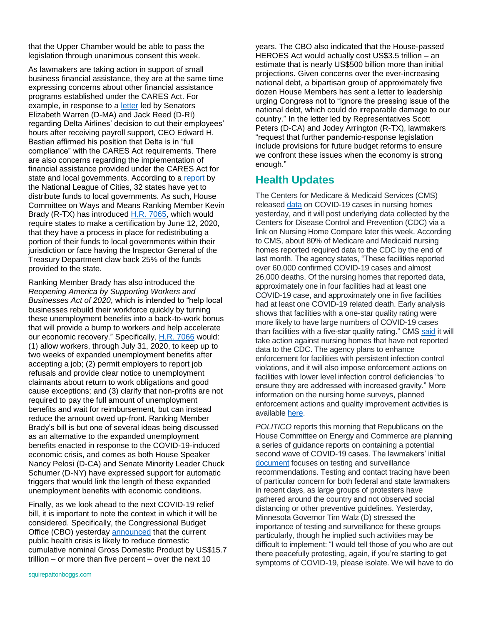that the Upper Chamber would be able to pass the legislation through unanimous consent this week.

As lawmakers are taking action in support of small business financial assistance, they are at the same time expressing concerns about other financial assistance programs established under the CARES Act. For example, in response to a [letter](https://www.warren.senate.gov/oversight/letters/warren-reed-colleagues-blast-jetblue-delta-for-accepting-federal-cares-act-bailout-funds-and-then-cutting-employees-hours-paychecks) led by Senators Elizabeth Warren (D-MA) and Jack Reed (D-RI) regarding Delta Airlines' decision to cut their employees' hours after receiving payroll support, CEO Edward H. Bastian affirmed his position that Delta is in "full compliance" with the CARES Act requirements. There are also concerns regarding the implementation of financial assistance provided under the CARES Act for state and local governments. According to a [report](https://republicans-waysandmeansforms.house.gov/uploadedfiles/most_municipalities_remain_unable_to_access_coronavirus_relief_funds.pdf) by the National League of Cities, 32 states have yet to distribute funds to local governments. As such, House Committee on Ways and Means Ranking Member Kevin Brady (R-TX) has introduced [H.R. 7065,](https://www.congress.gov/bill/116th-congress/house-bill/7065?s=2&r=2) which would require states to make a certification by June 12, 2020, that they have a process in place for redistributing a portion of their funds to local governments within their jurisdiction or face having the Inspector General of the Treasury Department claw back 25% of the funds provided to the state.

Ranking Member Brady has also introduced the *Reopening America by Supporting Workers and Businesses Act of 2020*, which is intended to "help local businesses rebuild their workforce quickly by turning these unemployment benefits into a back-to-work bonus that will provide a bump to workers and help accelerate our economic recovery." Specifically, [H.R. 7066](https://www.congress.gov/bill/116th-congress/house-bill/7066?s=3&r=1) would: (1) allow workers, through July 31, 2020, to keep up to two weeks of expanded unemployment benefits after accepting a job; (2) permit employers to report job refusals and provide clear notice to unemployment claimants about return to work obligations and good cause exceptions; and (3) clarify that non-profits are not required to pay the full amount of unemployment benefits and wait for reimbursement, but can instead reduce the amount owed up-front. Ranking Member Brady's bill is but one of several ideas being discussed as an alternative to the expanded unemployment benefits enacted in response to the COVID-19-induced economic crisis, and comes as both House Speaker Nancy Pelosi (D-CA) and Senate Minority Leader Chuck Schumer (D-NY) have expressed support for automatic triggers that would link the length of these expanded unemployment benefits with economic conditions.

Finally, as we look ahead to the next COVID-19 relief bill, it is important to note the context in which it will be considered. Specifically, the Congressional Budget Office (CBO) yesterday [announced](https://www.cbo.gov/system/files/2020-06/56376-GDP.pdf) that the current public health crisis is likely to reduce domestic cumulative nominal Gross Domestic Product by US\$15.7 trillion – or more than five percent – over the next 10

HEROES Act would actually cost US\$3.5 trillion – an estimate that is nearly US\$500 billion more than initial projections. Given concerns over the ever-increasing national debt, a bipartisan group of approximately five dozen House Members has sent a letter to leadership urging Congress not to "ignore the pressing issue of the national debt, which could do irreparable damage to our country." In the letter led by Representatives Scott Peters (D-CA) and Jodey Arrington (R-TX), lawmakers "request that further pandemic-response legislation include provisions for future budget reforms to ensure we confront these issues when the economy is strong enough." **Health Updates**

years. The CBO also indicated that the House-passed

The Centers for Medicare & Medicaid Services (CMS) released [data](https://www.cms.gov/files/document/6120-nursing-home-covid-19-data.pdf) on COVID-19 cases in nursing homes yesterday, and it will post underlying data collected by the Centers for Disease Control and Prevention (CDC) via a link on Nursing Home Compare later this week. According to CMS, about 80% of Medicare and Medicaid nursing homes reported required data to the CDC by the end of last month. The agency states, "These facilities reported over 60,000 confirmed COVID-19 cases and almost 26,000 deaths. Of the nursing homes that reported data, approximately one in four facilities had at least one COVID-19 case, and approximately one in five facilities had at least one COVID-19 related death. Early analysis shows that facilities with a one-star quality rating were more likely to have large numbers of COVID-19 cases than facilities with a five-star quality rating." CMS [said](https://www.cms.gov/newsroom/press-releases/trump-administration-unveils-enhanced-enforcement-actions-based-nursing-home-covid-19-data-and) it will take action against nursing homes that have not reported data to the CDC. The agency plans to enhance enforcement for facilities with persistent infection control violations, and it will also impose enforcement actions on facilities with lower level infection control deficiencies "to ensure they are addressed with increased gravity." More information on the nursing home surveys, planned enforcement actions and quality improvement activities is availabl[e here.](https://www.cms.gov/files/document/qso-20-31-all.pdf)

*POLITICO* reports this morning that Republicans on the House Committee on Energy and Commerce are planning a series of guidance reports on containing a potential second wave of COVID-19 cases. The lawmakers' initial [document](https://republicans-energycommerce.house.gov/wp-content/uploads/2020/06/COVID-19-Second-Wave-Report_Testing-Surveillance_FINAL.pdf) focuses on testing and surveillance recommendations. Testing and contact tracing have been of particular concern for both federal and state lawmakers in recent days, as large groups of protesters have gathered around the country and not observed social distancing or other preventive guidelines. Yesterday, Minnesota Governor Tim Walz (D) stressed the importance of testing and surveillance for these groups particularly, though he implied such activities may be difficult to implement: "I would tell those of you who are out there peacefully protesting, again, if you're starting to get symptoms of COVID-19, please isolate. We will have to do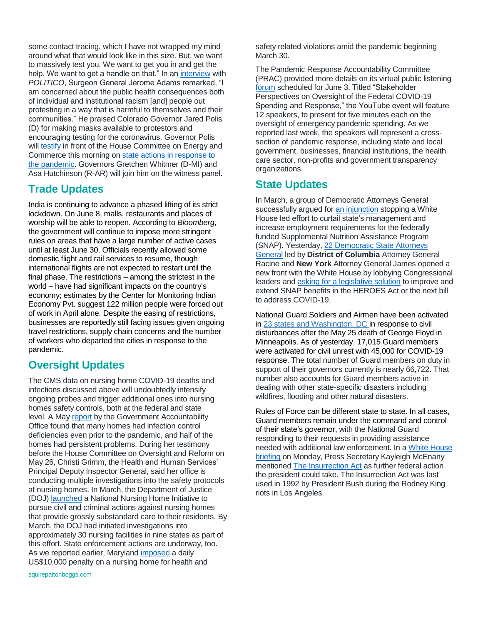some contact tracing, which I have not wrapped my mind around what that would look like in this size. But, we want to massively test you. We want to get you in and get the help. We want to get a handle on that." In a[n interview](https://www.politico.com/news/2020/06/01/surgeon-general-protests-coronavirus-294270) with *POLITICO*, Surgeon General Jerome Adams remarked, "I am concerned about the public health consequences both of individual and institutional racism [and] people out protesting in a way that is harmful to themselves and their communities." He praised Colorado Governor Jared Polis (D) for making masks available to protestors and encouraging testing for the coronavirus. Governor Polis will [testify](https://docs.house.gov/meetings/IF/IF02/20200602/110763/HHRG-116-IF02-Wstate-PolisJ-20200602.pdf) in front of the House Committee on Energy and Commerce this morning on [state actions in response to](https://energycommerce.house.gov/committee-activity/hearings/hearing-on-on-the-front-lines-how-governors-are-battling-the-covid-19)  [the pandemic.](https://energycommerce.house.gov/committee-activity/hearings/hearing-on-on-the-front-lines-how-governors-are-battling-the-covid-19) Governors Gretchen Whitmer (D-MI) and Asa Hutchinson (R-AR) will join him on the witness panel.

#### **Trade Updates**

India is continuing to advance a phased lifting of its strict lockdown. On June 8, malls, restaurants and places of worship will be able to reopen. According to *Bloomberg*, the government will continue to impose more stringent rules on areas that have a large number of active cases until at least June 30. Officials recently allowed some domestic flight and rail services to resume, though international flights are not expected to restart until the final phase. The restrictions – among the strictest in the world – have had significant impacts on the country's economy; estimates by the Center for Monitoring Indian Economy Pvt. suggest 122 million people were forced out of work in April alone. Despite the easing of restrictions, businesses are reportedly still facing issues given ongoing travel restrictions, supply chain concerns and the number of workers who departed the cities in response to the pandemic.

#### **Oversight Updates**

The CMS data on nursing home COVID-19 deaths and infections discussed above will undoubtedly intensify ongoing probes and trigger additional ones into nursing homes safety controls, both at the federal and state level. A May [report](https://www.gao.gov/assets/710/707069.pdf) by the Government Accountability Office found that many homes had infection control deficiencies even prior to the pandemic, and half of the homes had persistent problems. During her testimony before the House Committee on Oversight and Reform on May 26, Christi Grimm, the Health and Human Services' Principal Deputy Inspector General, said her office is conducting multiple investigations into the safety protocols at nursing homes. In March, the Department of Justice (DOJ[\) launched](https://www.justice.gov/opa/pr/department-justice-launches-national-nursing-home-initiative) a National Nursing Home Initiative to pursue civil and criminal actions against nursing homes that provide grossly substandard care to their residents. By March, the DOJ had initiated investigations into approximately 30 nursing facilities in nine states as part of this effort. State enforcement actions are underway, too. As we reported earlier, Maryland [imposed](https://www.washingtonpost.com/context/maryland-regulators-fine-nursing-facility/88ac12ac-406c-4022-aa9f-287038868e35/?itid=lk_inline_manual_1) a daily US\$10,000 penalty on a nursing home for health and

safety related violations amid the pandemic beginning March 30.

The Pandemic Response Accountability Committee (PRAC) provided more details on its virtual public listening [forum](https://pandemic.oversight.gov/news/articles/prac-announces-public-forum-june-3) scheduled for June 3. Titled "Stakeholder Perspectives on Oversight of the Federal COVID-19 Spending and Response," the YouTube event will feature 12 speakers, to present for five minutes each on the oversight of emergency pandemic spending. As we reported last week, the speakers will represent a crosssection of pandemic response, including state and local government, businesses, financial institutions, the health care sector, non-profits and government transparency organizations.

### **State Updates**

In March, a group of Democratic Attorneys General successfully argued for [an injunction](https://ag.ny.gov/press-release/2020/court-stops-trump-admins-attempt-restrict-access-food-assistance) stopping a White House led effort to curtail state's management and increase employment requirements for the federally funded Supplemental Nutrition Assistance Program (SNAP). Yesterday, 22 [Democratic State Attorneys](https://oag.dc.gov/sites/default/files/2020-04/Multistate-Letter-SNAP-Categorical-Eligibility-Rulemaking.pdf)  [General](https://oag.dc.gov/sites/default/files/2020-04/Multistate-Letter-SNAP-Categorical-Eligibility-Rulemaking.pdf) led by **District of Columbia** Attorney General Racine and **New York** Attorney General James opened a new front with the White House by lobbying Congressional leaders and [asking for a legislative solution](https://thehill.com/homenews/state-watch/493993-22-ags-demand-usda-reject-rule-that-would-cut-snap-benefits) to improve and extend SNAP benefits in the HEROES Act or the next bill to address COVID-19.

National Guard Soldiers and Airmen have been activated in [23 states and Washington, DC](https://www.nationalguard.mil/News/Article/2202946/guard-members-in-23-states-dc-called-up-in-response-to-civil-unrest/) in response to civil disturbances after the May 25 death of George Floyd in Minneapolis. As of yesterday, 17,015 Guard members were activated for civil unrest with 45,000 for COVID-19 response. The total number of Guard members on duty in support of their governors currently is nearly 66,722. That number also accounts for Guard members active in dealing with other state-specific disasters including wildfires, flooding and other natural disasters.

Rules of Force can be different state to state. In all cases, Guard members remain under the command and control of their state's governor, with the National Guard responding to their requests in providing assistance needed with additional law enforcement. In a [White House](https://www.whitehouse.gov/briefings-statements/press-briefing-press-secretary-kayleigh-mcenany-060120/)  [briefing](https://www.whitehouse.gov/briefings-statements/press-briefing-press-secretary-kayleigh-mcenany-060120/) on Monday, Press Secretary Kayleigh McEnany mentioned [The Insurrection Act](https://govtrackus.s3.amazonaws.com/legislink/pdf/stat/2/STATUTE-2-Pg443a.pdf) as further federal action the president could take. The Insurrection Act was last used in 1992 by President Bush during the Rodney King riots in Los Angeles.